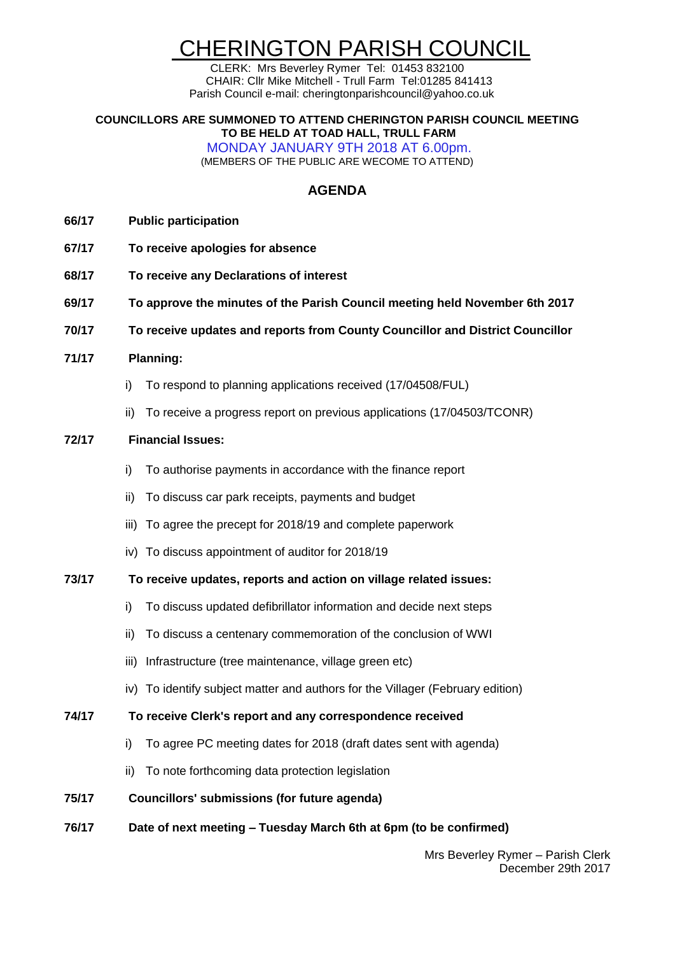# CHERINGTON PARISH COUNCIL

CLERK: Mrs Beverley Rymer Tel: 01453 832100 CHAIR: Cllr Mike Mitchell - Trull Farm Tel:01285 841413 Parish Council e-mail: cheringtonparishcouncil@yahoo.co.uk

#### **COUNCILLORS ARE SUMMONED TO ATTEND CHERINGTON PARISH COUNCIL MEETING TO BE HELD AT TOAD HALL, TRULL FARM**

MONDAY JANUARY 9TH 2018 AT 6.00pm. (MEMBERS OF THE PUBLIC ARE WECOME TO ATTEND)

## **AGENDA**

- **66/17 Public participation**
- **67/17 To receive apologies for absence**
- **68/17 To receive any Declarations of interest**
- **69/17 To approve the minutes of the Parish Council meeting held November 6th 2017**
- **70/17 To receive updates and reports from County Councillor and District Councillor**
- **71/17 Planning:**
	- i) To respond to planning applications received (17/04508/FUL)
	- ii) To receive a progress report on previous applications (17/04503/TCONR)

## **72/17 Financial Issues:**

- i) To authorise payments in accordance with the finance report
- ii) To discuss car park receipts, payments and budget
- iii) To agree the precept for 2018/19 and complete paperwork
- iv) To discuss appointment of auditor for 2018/19

#### **73/17 To receive updates, reports and action on village related issues:**

- i) To discuss updated defibrillator information and decide next steps
- ii) To discuss a centenary commemoration of the conclusion of WWI
- iii) Infrastructure (tree maintenance, village green etc)
- iv) To identify subject matter and authors for the Villager (February edition)

#### **74/17 To receive Clerk's report and any correspondence received**

- i) To agree PC meeting dates for 2018 (draft dates sent with agenda)
- ii) To note forthcoming data protection legislation
- **75/17 Councillors' submissions (for future agenda)**
- **76/17 Date of next meeting – Tuesday March 6th at 6pm (to be confirmed)**

Mrs Beverley Rymer – Parish Clerk December 29th 2017